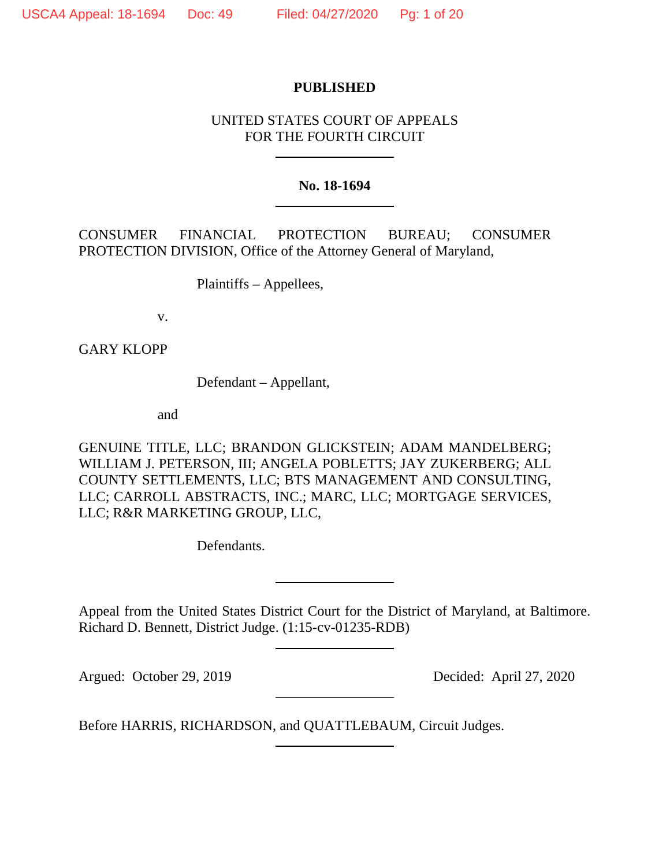## **PUBLISHED**

# UNITED STATES COURT OF APPEALS FOR THE FOURTH CIRCUIT

## **No. 18-1694**

CONSUMER FINANCIAL PROTECTION BUREAU; CONSUMER PROTECTION DIVISION, Office of the Attorney General of Maryland,

Plaintiffs – Appellees,

v.

GARY KLOPP

Defendant – Appellant,

and

GENUINE TITLE, LLC; BRANDON GLICKSTEIN; ADAM MANDELBERG; WILLIAM J. PETERSON, III; ANGELA POBLETTS; JAY ZUKERBERG; ALL COUNTY SETTLEMENTS, LLC; BTS MANAGEMENT AND CONSULTING, LLC; CARROLL ABSTRACTS, INC.; MARC, LLC; MORTGAGE SERVICES, LLC; R&R MARKETING GROUP, LLC,

Defendants.

Appeal from the United States District Court for the District of Maryland, at Baltimore. Richard D. Bennett, District Judge. (1:15-cv-01235-RDB)

Argued: October 29, 2019 Decided: April 27, 2020

Before HARRIS, RICHARDSON, and QUATTLEBAUM, Circuit Judges.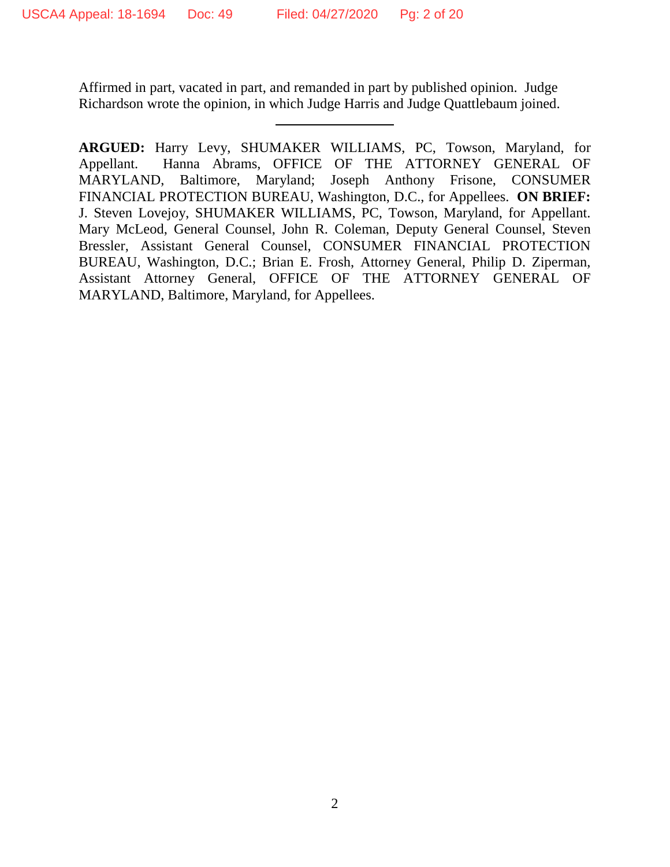Affirmed in part, vacated in part, and remanded in part by published opinion. Judge Richardson wrote the opinion, in which Judge Harris and Judge Quattlebaum joined.

**ARGUED:** Harry Levy, SHUMAKER WILLIAMS, PC, Towson, Maryland, for Appellant. Hanna Abrams, OFFICE OF THE ATTORNEY GENERAL OF MARYLAND, Baltimore, Maryland; Joseph Anthony Frisone, CONSUMER FINANCIAL PROTECTION BUREAU, Washington, D.C., for Appellees. **ON BRIEF:** J. Steven Lovejoy, SHUMAKER WILLIAMS, PC, Towson, Maryland, for Appellant. Mary McLeod, General Counsel, John R. Coleman, Deputy General Counsel, Steven Bressler, Assistant General Counsel, CONSUMER FINANCIAL PROTECTION BUREAU, Washington, D.C.; Brian E. Frosh, Attorney General, Philip D. Ziperman, Assistant Attorney General, OFFICE OF THE ATTORNEY GENERAL OF MARYLAND, Baltimore, Maryland, for Appellees.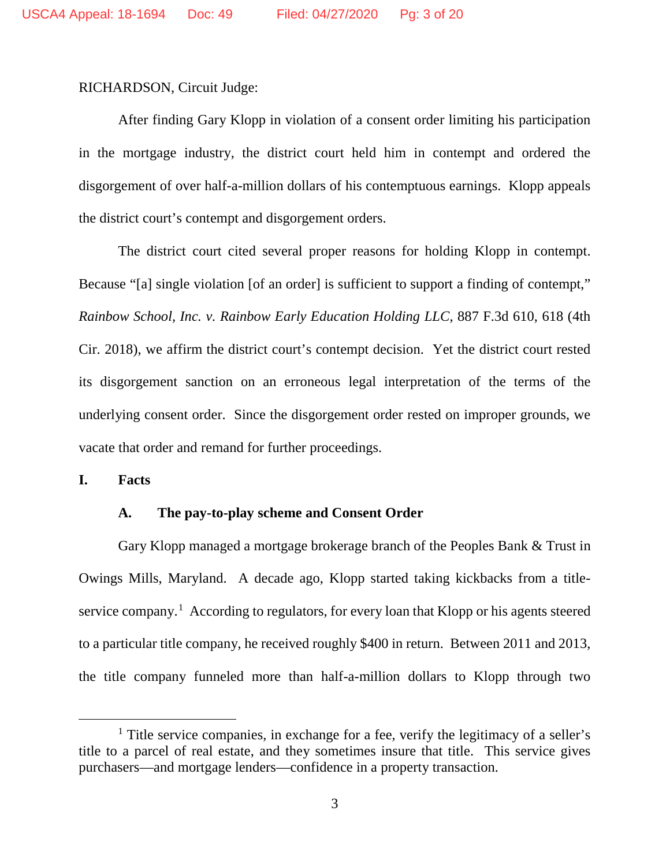RICHARDSON, Circuit Judge:

After finding Gary Klopp in violation of a consent order limiting his participation in the mortgage industry, the district court held him in contempt and ordered the disgorgement of over half-a-million dollars of his contemptuous earnings. Klopp appeals the district court's contempt and disgorgement orders.

The district court cited several proper reasons for holding Klopp in contempt. Because "[a] single violation [of an order] is sufficient to support a finding of contempt," *Rainbow School, Inc. v. Rainbow Early Education Holding LLC*, 887 F.3d 610, 618 (4th Cir. 2018), we affirm the district court's contempt decision. Yet the district court rested its disgorgement sanction on an erroneous legal interpretation of the terms of the underlying consent order. Since the disgorgement order rested on improper grounds, we vacate that order and remand for further proceedings.

**I. Facts**

## **A. The pay-to-play scheme and Consent Order**

Gary Klopp managed a mortgage brokerage branch of the Peoples Bank & Trust in Owings Mills, Maryland. A decade ago, Klopp started taking kickbacks from a title-service company.<sup>[1](#page-2-0)</sup> According to regulators, for every loan that Klopp or his agents steered to a particular title company, he received roughly \$400 in return. Between 2011 and 2013, the title company funneled more than half-a-million dollars to Klopp through two

<span id="page-2-0"></span><sup>&</sup>lt;sup>1</sup> Title service companies, in exchange for a fee, verify the legitimacy of a seller's title to a parcel of real estate, and they sometimes insure that title. This service gives purchasers—and mortgage lenders—confidence in a property transaction.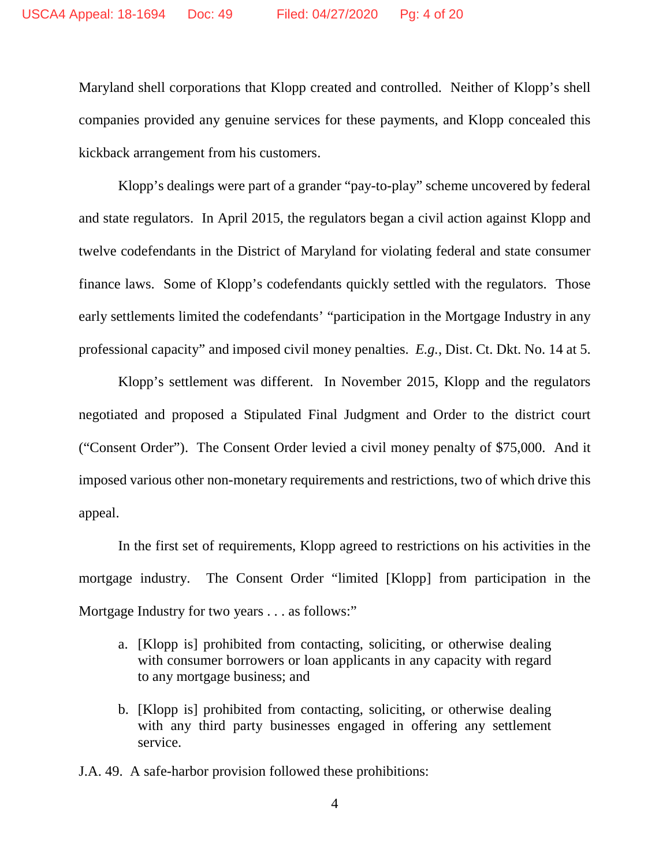Maryland shell corporations that Klopp created and controlled. Neither of Klopp's shell companies provided any genuine services for these payments, and Klopp concealed this kickback arrangement from his customers.

Klopp's dealings were part of a grander "pay-to-play" scheme uncovered by federal and state regulators. In April 2015, the regulators began a civil action against Klopp and twelve codefendants in the District of Maryland for violating federal and state consumer finance laws. Some of Klopp's codefendants quickly settled with the regulators. Those early settlements limited the codefendants' "participation in the Mortgage Industry in any professional capacity" and imposed civil money penalties. *E.g.*, Dist. Ct. Dkt. No. 14 at 5.

Klopp's settlement was different. In November 2015, Klopp and the regulators negotiated and proposed a Stipulated Final Judgment and Order to the district court ("Consent Order"). The Consent Order levied a civil money penalty of \$75,000. And it imposed various other non-monetary requirements and restrictions, two of which drive this appeal.

In the first set of requirements, Klopp agreed to restrictions on his activities in the mortgage industry. The Consent Order "limited [Klopp] from participation in the Mortgage Industry for two years . . . as follows:"

- a. [Klopp is] prohibited from contacting, soliciting, or otherwise dealing with consumer borrowers or loan applicants in any capacity with regard to any mortgage business; and
- b. [Klopp is] prohibited from contacting, soliciting, or otherwise dealing with any third party businesses engaged in offering any settlement service.

J.A. 49. A safe-harbor provision followed these prohibitions: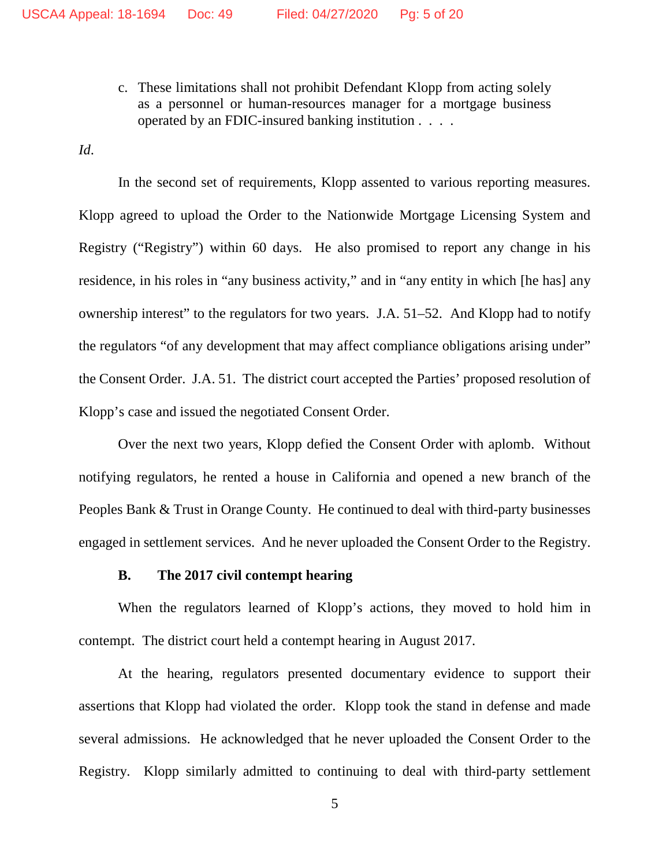c. These limitations shall not prohibit Defendant Klopp from acting solely as a personnel or human-resources manager for a mortgage business operated by an FDIC-insured banking institution . . . .

*Id*.

In the second set of requirements, Klopp assented to various reporting measures. Klopp agreed to upload the Order to the Nationwide Mortgage Licensing System and Registry ("Registry") within 60 days. He also promised to report any change in his residence, in his roles in "any business activity," and in "any entity in which [he has] any ownership interest" to the regulators for two years. J.A. 51–52. And Klopp had to notify the regulators "of any development that may affect compliance obligations arising under" the Consent Order. J.A. 51. The district court accepted the Parties' proposed resolution of Klopp's case and issued the negotiated Consent Order.

Over the next two years, Klopp defied the Consent Order with aplomb. Without notifying regulators, he rented a house in California and opened a new branch of the Peoples Bank & Trust in Orange County. He continued to deal with third-party businesses engaged in settlement services. And he never uploaded the Consent Order to the Registry.

### **B. The 2017 civil contempt hearing**

When the regulators learned of Klopp's actions, they moved to hold him in contempt. The district court held a contempt hearing in August 2017.

At the hearing, regulators presented documentary evidence to support their assertions that Klopp had violated the order. Klopp took the stand in defense and made several admissions. He acknowledged that he never uploaded the Consent Order to the Registry. Klopp similarly admitted to continuing to deal with third-party settlement

<sup>5</sup>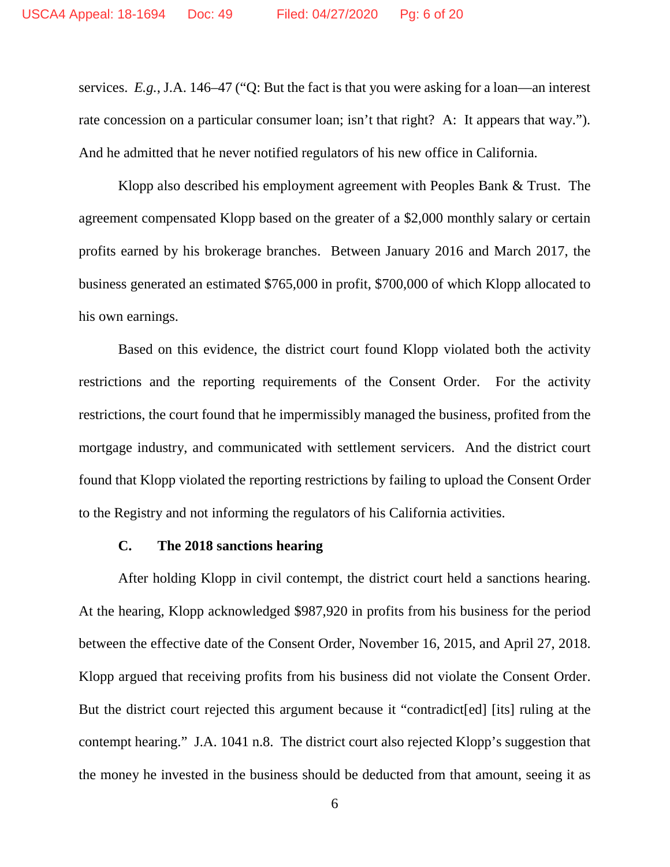services. *E.g.*, J.A. 146–47 ("Q: But the fact is that you were asking for a loan—an interest rate concession on a particular consumer loan; isn't that right? A: It appears that way."). And he admitted that he never notified regulators of his new office in California.

Klopp also described his employment agreement with Peoples Bank & Trust. The agreement compensated Klopp based on the greater of a \$2,000 monthly salary or certain profits earned by his brokerage branches. Between January 2016 and March 2017, the business generated an estimated \$765,000 in profit, \$700,000 of which Klopp allocated to his own earnings.

Based on this evidence, the district court found Klopp violated both the activity restrictions and the reporting requirements of the Consent Order. For the activity restrictions, the court found that he impermissibly managed the business, profited from the mortgage industry, and communicated with settlement servicers. And the district court found that Klopp violated the reporting restrictions by failing to upload the Consent Order to the Registry and not informing the regulators of his California activities.

# **C. The 2018 sanctions hearing**

After holding Klopp in civil contempt, the district court held a sanctions hearing. At the hearing, Klopp acknowledged \$987,920 in profits from his business for the period between the effective date of the Consent Order, November 16, 2015, and April 27, 2018. Klopp argued that receiving profits from his business did not violate the Consent Order. But the district court rejected this argument because it "contradict[ed] [its] ruling at the contempt hearing." J.A. 1041 n.8. The district court also rejected Klopp's suggestion that the money he invested in the business should be deducted from that amount, seeing it as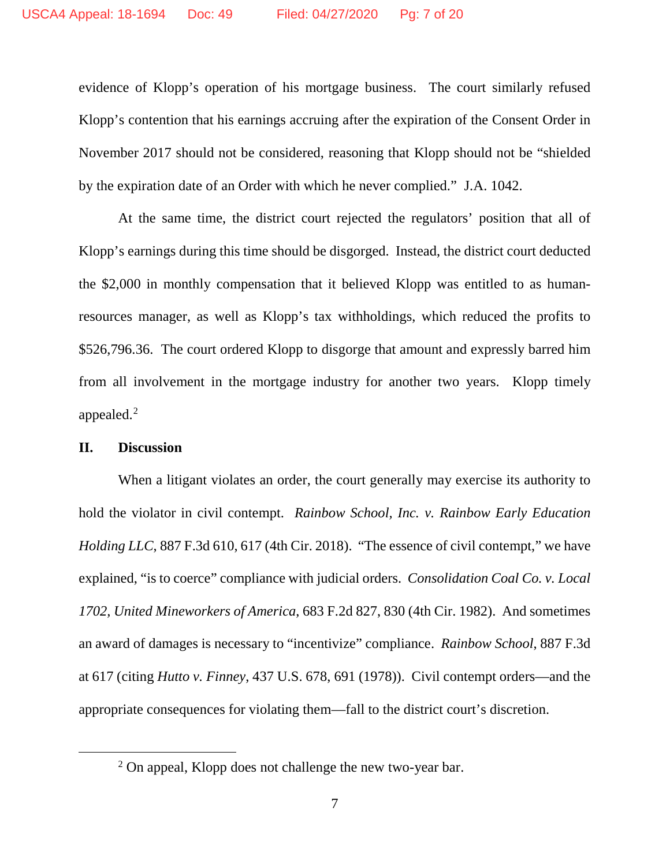evidence of Klopp's operation of his mortgage business. The court similarly refused Klopp's contention that his earnings accruing after the expiration of the Consent Order in November 2017 should not be considered, reasoning that Klopp should not be "shielded by the expiration date of an Order with which he never complied." J.A. 1042.

At the same time, the district court rejected the regulators' position that all of Klopp's earnings during this time should be disgorged. Instead, the district court deducted the \$2,000 in monthly compensation that it believed Klopp was entitled to as humanresources manager, as well as Klopp's tax withholdings, which reduced the profits to \$526,796.36. The court ordered Klopp to disgorge that amount and expressly barred him from all involvement in the mortgage industry for another two years. Klopp timely appealed. $<sup>2</sup>$  $<sup>2</sup>$  $<sup>2</sup>$ </sup>

# **II. Discussion**

When a litigant violates an order, the court generally may exercise its authority to hold the violator in civil contempt. *Rainbow School, Inc. v. Rainbow Early Education Holding LLC*, 887 F.3d 610, 617 (4th Cir. 2018). "The essence of civil contempt," we have explained, "is to coerce" compliance with judicial orders. *Consolidation Coal Co. v. Local 1702, United Mineworkers of America*, 683 F.2d 827, 830 (4th Cir. 1982). And sometimes an award of damages is necessary to "incentivize" compliance. *Rainbow School*, 887 F.3d at 617 (citing *Hutto v. Finney*, 437 U.S. 678, 691 (1978)). Civil contempt orders—and the appropriate consequences for violating them—fall to the district court's discretion.

<span id="page-6-0"></span><sup>&</sup>lt;sup>2</sup> On appeal, Klopp does not challenge the new two-year bar.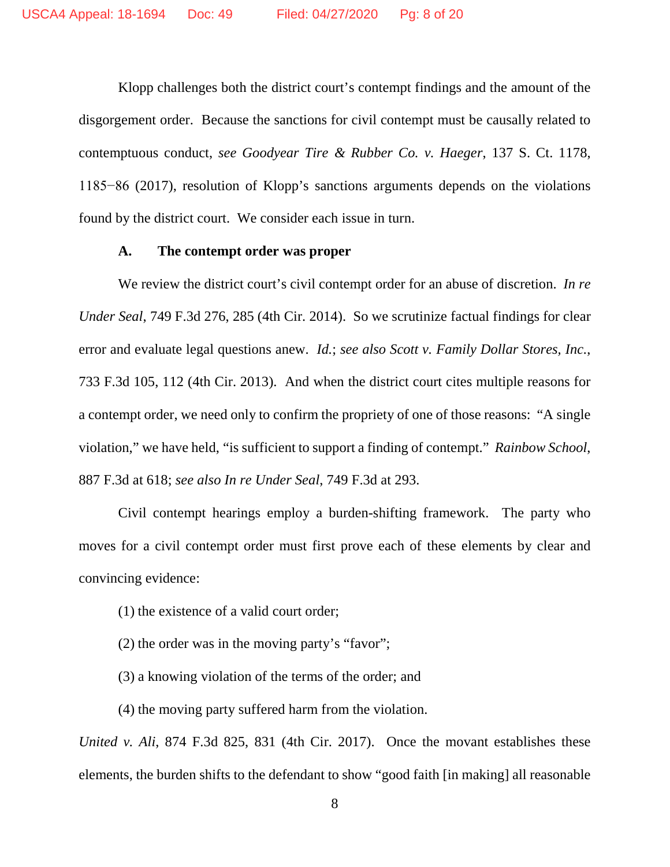Klopp challenges both the district court's contempt findings and the amount of the disgorgement order. Because the sanctions for civil contempt must be causally related to contemptuous conduct, *see Goodyear Tire & Rubber Co. v. Haeger*, 137 S. Ct. 1178, 1185−86 (2017), resolution of Klopp's sanctions arguments depends on the violations found by the district court. We consider each issue in turn.

#### **A. The contempt order was proper**

We review the district court's civil contempt order for an abuse of discretion. *In re Under Seal*, 749 F.3d 276, 285 (4th Cir. 2014). So we scrutinize factual findings for clear error and evaluate legal questions anew. *Id.*; *see also Scott v. Family Dollar Stores, Inc.*, 733 F.3d 105, 112 (4th Cir. 2013). And when the district court cites multiple reasons for a contempt order, we need only to confirm the propriety of one of those reasons: "A single violation," we have held, "is sufficient to support a finding of contempt." *Rainbow School*, 887 F.3d at 618; *see also In re Under Seal*, 749 F.3d at 293.

Civil contempt hearings employ a burden-shifting framework. The party who moves for a civil contempt order must first prove each of these elements by clear and convincing evidence:

- (1) the existence of a valid court order;
- (2) the order was in the moving party's "favor";
- (3) a knowing violation of the terms of the order; and
- (4) the moving party suffered harm from the violation.

*United v. Ali*, 874 F.3d 825, 831 (4th Cir. 2017). Once the movant establishes these elements, the burden shifts to the defendant to show "good faith [in making] all reasonable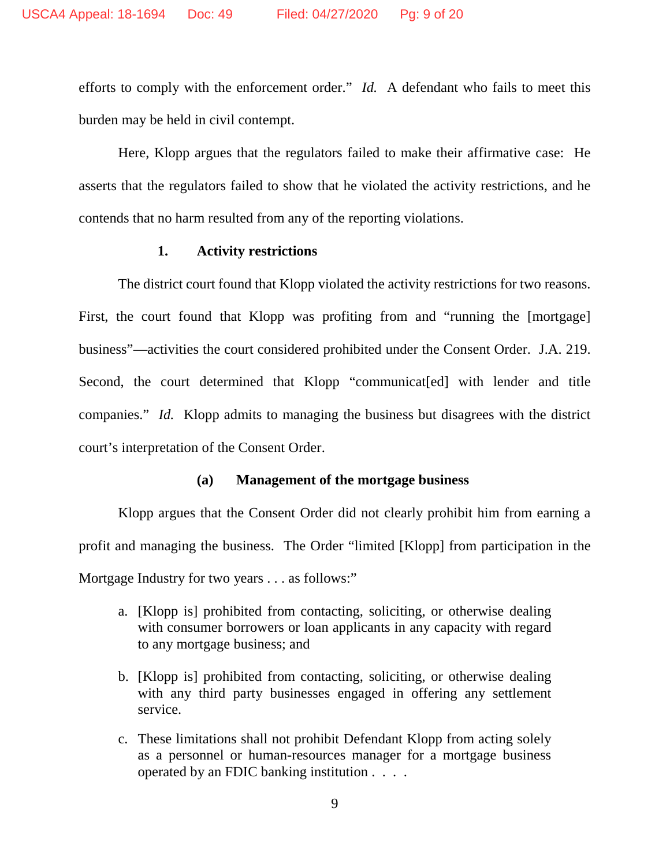efforts to comply with the enforcement order." *Id.* A defendant who fails to meet this burden may be held in civil contempt.

Here, Klopp argues that the regulators failed to make their affirmative case: He asserts that the regulators failed to show that he violated the activity restrictions, and he contends that no harm resulted from any of the reporting violations.

## **1. Activity restrictions**

The district court found that Klopp violated the activity restrictions for two reasons. First, the court found that Klopp was profiting from and "running the [mortgage] business"—activities the court considered prohibited under the Consent Order. J.A. 219. Second, the court determined that Klopp "communicat[ed] with lender and title companies." *Id.* Klopp admits to managing the business but disagrees with the district court's interpretation of the Consent Order.

### **(a) Management of the mortgage business**

Klopp argues that the Consent Order did not clearly prohibit him from earning a profit and managing the business. The Order "limited [Klopp] from participation in the Mortgage Industry for two years . . . as follows:"

- a. [Klopp is] prohibited from contacting, soliciting, or otherwise dealing with consumer borrowers or loan applicants in any capacity with regard to any mortgage business; and
- b. [Klopp is] prohibited from contacting, soliciting, or otherwise dealing with any third party businesses engaged in offering any settlement service.
- c. These limitations shall not prohibit Defendant Klopp from acting solely as a personnel or human-resources manager for a mortgage business operated by an FDIC banking institution . . . .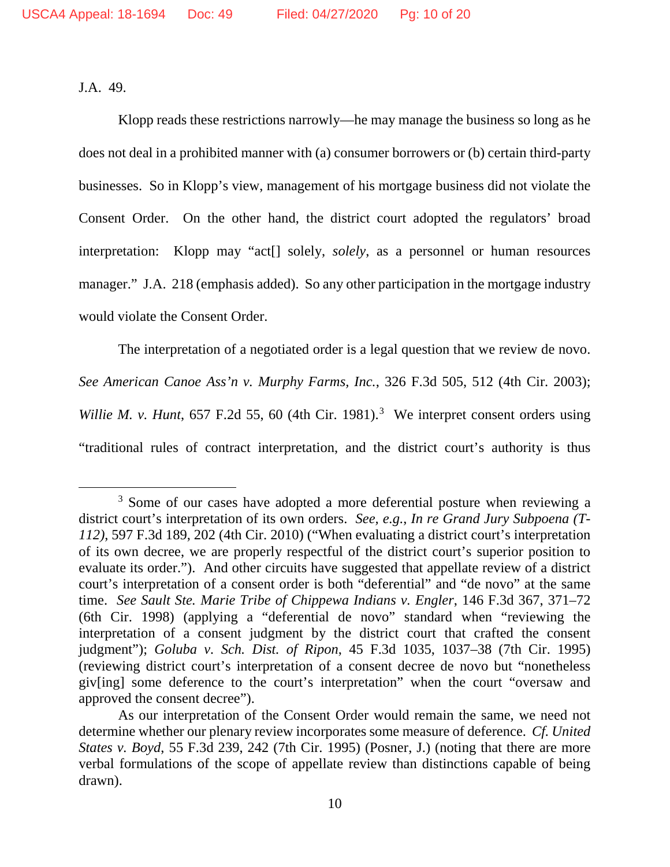J.A. 49.

Klopp reads these restrictions narrowly—he may manage the business so long as he does not deal in a prohibited manner with (a) consumer borrowers or (b) certain third-party businesses. So in Klopp's view, management of his mortgage business did not violate the Consent Order. On the other hand, the district court adopted the regulators' broad interpretation: Klopp may "act[] solely, *solely*, as a personnel or human resources manager." J.A. 218 (emphasis added). So any other participation in the mortgage industry would violate the Consent Order.

The interpretation of a negotiated order is a legal question that we review de novo. *See American Canoe Ass'n v. Murphy Farms, Inc.*, 326 F.3d 505, 512 (4th Cir. 2003); Willie M. v. Hunt, 657 F.2d 55, 60 (4th Cir. 1981).<sup>[3](#page-9-0)</sup> We interpret consent orders using "traditional rules of contract interpretation, and the district court's authority is thus

<span id="page-9-0"></span><sup>&</sup>lt;sup>3</sup> Some of our cases have adopted a more deferential posture when reviewing a district court's interpretation of its own orders. *See, e.g.*, *In re Grand Jury Subpoena (T-112)*, 597 F.3d 189, 202 (4th Cir. 2010) ("When evaluating a district court's interpretation of its own decree, we are properly respectful of the district court's superior position to evaluate its order."). And other circuits have suggested that appellate review of a district court's interpretation of a consent order is both "deferential" and "de novo" at the same time. *See Sault Ste. Marie Tribe of Chippewa Indians v. Engler*, 146 F.3d 367, 371–72 (6th Cir. 1998) (applying a "deferential de novo" standard when "reviewing the interpretation of a consent judgment by the district court that crafted the consent judgment"); *Goluba v. Sch. Dist. of Ripon*, 45 F.3d 1035, 1037–38 (7th Cir. 1995) (reviewing district court's interpretation of a consent decree de novo but "nonetheless giv[ing] some deference to the court's interpretation" when the court "oversaw and approved the consent decree").

As our interpretation of the Consent Order would remain the same, we need not determine whether our plenary review incorporates some measure of deference. *Cf. United States v. Boyd*, 55 F.3d 239, 242 (7th Cir. 1995) (Posner, J.) (noting that there are more verbal formulations of the scope of appellate review than distinctions capable of being drawn).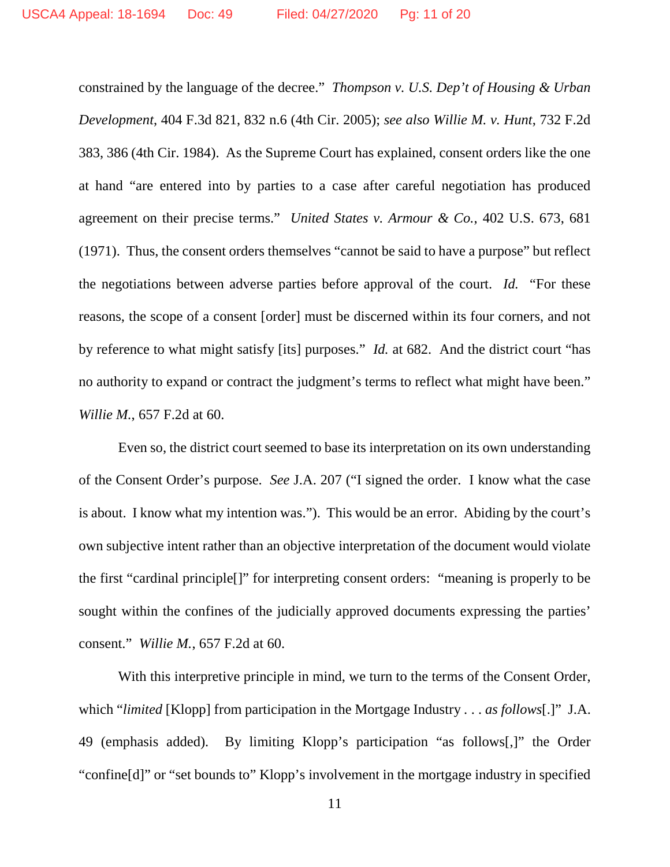constrained by the language of the decree." *Thompson v. U.S. Dep't of Housing & Urban Development*, 404 F.3d 821, 832 n.6 (4th Cir. 2005); *see also Willie M. v. Hunt*, 732 F.2d 383, 386 (4th Cir. 1984). As the Supreme Court has explained, consent orders like the one at hand "are entered into by parties to a case after careful negotiation has produced agreement on their precise terms." *United States v. Armour & Co.*, 402 U.S. 673, 681 (1971). Thus, the consent orders themselves "cannot be said to have a purpose" but reflect the negotiations between adverse parties before approval of the court. *Id.* "For these reasons, the scope of a consent [order] must be discerned within its four corners, and not by reference to what might satisfy [its] purposes." *Id.* at 682. And the district court "has no authority to expand or contract the judgment's terms to reflect what might have been." *Willie M.*, 657 F.2d at 60.

Even so, the district court seemed to base its interpretation on its own understanding of the Consent Order's purpose. *See* J.A. 207 ("I signed the order. I know what the case is about. I know what my intention was."). This would be an error. Abiding by the court's own subjective intent rather than an objective interpretation of the document would violate the first "cardinal principle[]" for interpreting consent orders: "meaning is properly to be sought within the confines of the judicially approved documents expressing the parties' consent." *Willie M.*, 657 F.2d at 60.

With this interpretive principle in mind, we turn to the terms of the Consent Order, which "*limited* [Klopp] from participation in the Mortgage Industry . . . *as follows*[.]" J.A. 49 (emphasis added). By limiting Klopp's participation "as follows[,]" the Order "confine[d]" or "set bounds to" Klopp's involvement in the mortgage industry in specified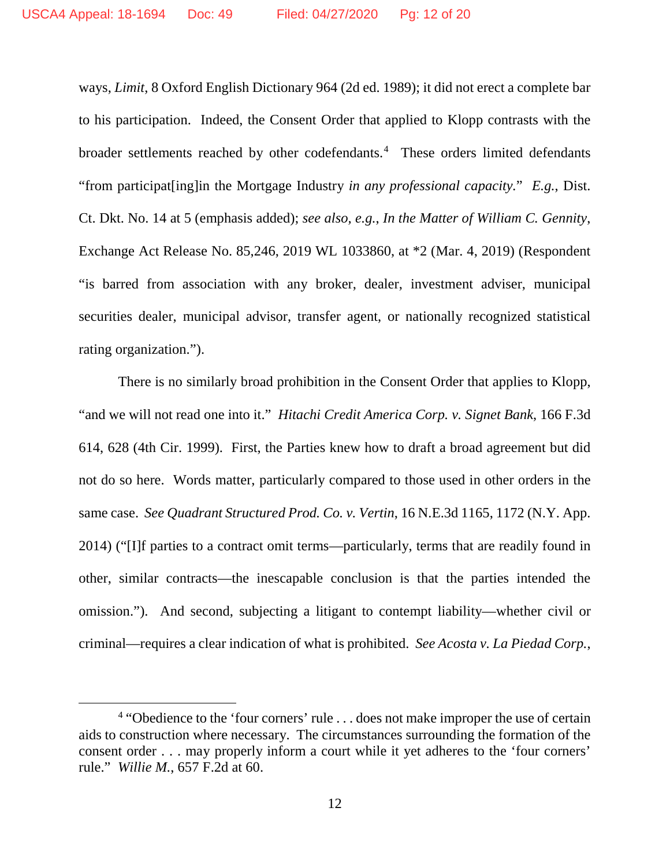ways, *Limit*, 8 Oxford English Dictionary 964 (2d ed. 1989); it did not erect a complete bar to his participation. Indeed, the Consent Order that applied to Klopp contrasts with the broader settlements reached by other codefendants. [4](#page-11-0) These orders limited defendants "from participat[ing]in the Mortgage Industry *in any professional capacity.*" *E.g.*, Dist. Ct. Dkt. No. 14 at 5 (emphasis added); *see also, e.g.*, *In the Matter of William C. Gennity*, Exchange Act Release No. 85,246, 2019 WL 1033860, at \*2 (Mar. 4, 2019) (Respondent "is barred from association with any broker, dealer, investment adviser, municipal securities dealer, municipal advisor, transfer agent, or nationally recognized statistical rating organization.").

There is no similarly broad prohibition in the Consent Order that applies to Klopp, "and we will not read one into it." *Hitachi Credit America Corp. v. Signet Bank*, 166 F.3d 614, 628 (4th Cir. 1999). First, the Parties knew how to draft a broad agreement but did not do so here. Words matter, particularly compared to those used in other orders in the same case. *See Quadrant Structured Prod. Co. v. Vertin*, 16 N.E.3d 1165, 1172 (N.Y. App. 2014) ("[I]f parties to a contract omit terms—particularly, terms that are readily found in other, similar contracts—the inescapable conclusion is that the parties intended the omission."). And second, subjecting a litigant to contempt liability—whether civil or criminal—requires a clear indication of what is prohibited. *See Acosta v. La Piedad Corp.*,

<span id="page-11-0"></span><sup>&</sup>lt;sup>4</sup> "Obedience to the 'four corners' rule ... does not make improper the use of certain aids to construction where necessary. The circumstances surrounding the formation of the consent order . . . may properly inform a court while it yet adheres to the 'four corners' rule." *Willie M.*, 657 F.2d at 60.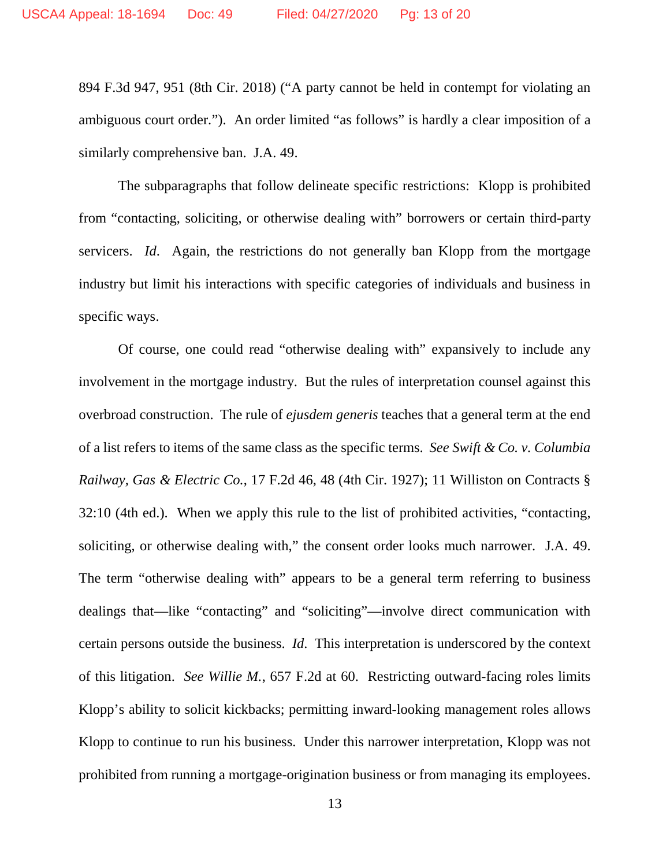894 F.3d 947, 951 (8th Cir. 2018) ("A party cannot be held in contempt for violating an ambiguous court order."). An order limited "as follows" is hardly a clear imposition of a similarly comprehensive ban. J.A. 49.

The subparagraphs that follow delineate specific restrictions: Klopp is prohibited from "contacting, soliciting, or otherwise dealing with" borrowers or certain third-party servicers. *Id*. Again, the restrictions do not generally ban Klopp from the mortgage industry but limit his interactions with specific categories of individuals and business in specific ways.

Of course, one could read "otherwise dealing with" expansively to include any involvement in the mortgage industry. But the rules of interpretation counsel against this overbroad construction. The rule of *ejusdem generis* teaches that a general term at the end of a list refers to items of the same class as the specific terms. *See Swift & Co. v. Columbia Railway, Gas & Electric Co.*, 17 F.2d 46, 48 (4th Cir. 1927); 11 Williston on Contracts § 32:10 (4th ed.). When we apply this rule to the list of prohibited activities, "contacting, soliciting, or otherwise dealing with," the consent order looks much narrower. J.A. 49. The term "otherwise dealing with" appears to be a general term referring to business dealings that—like "contacting" and "soliciting"—involve direct communication with certain persons outside the business. *Id*. This interpretation is underscored by the context of this litigation. *See Willie M.*, 657 F.2d at 60. Restricting outward-facing roles limits Klopp's ability to solicit kickbacks; permitting inward-looking management roles allows Klopp to continue to run his business. Under this narrower interpretation, Klopp was not prohibited from running a mortgage-origination business or from managing its employees.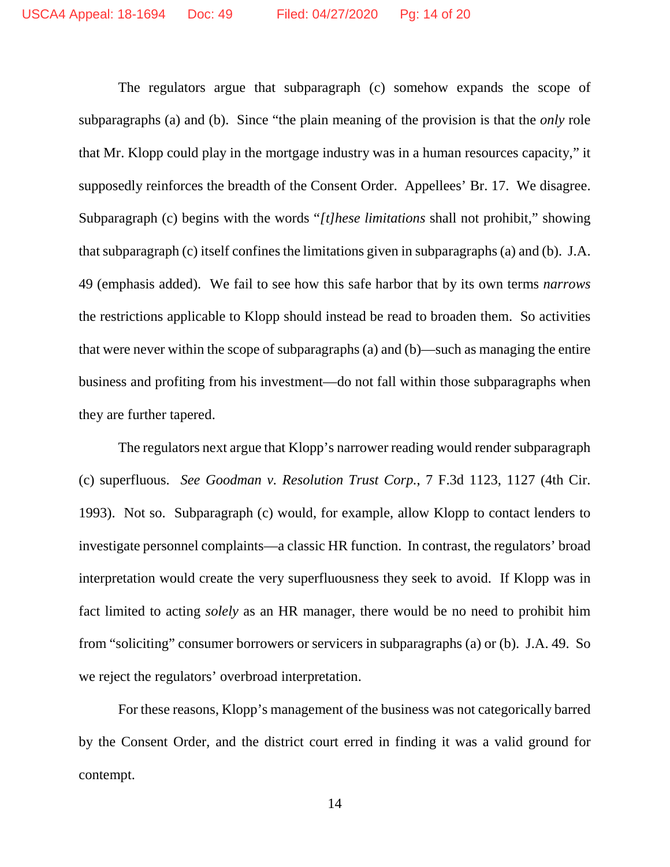The regulators argue that subparagraph (c) somehow expands the scope of subparagraphs (a) and (b). Since "the plain meaning of the provision is that the *only* role that Mr. Klopp could play in the mortgage industry was in a human resources capacity," it supposedly reinforces the breadth of the Consent Order. Appellees' Br. 17. We disagree. Subparagraph (c) begins with the words "*[t]hese limitations* shall not prohibit," showing that subparagraph (c) itself confines the limitations given in subparagraphs (a) and (b). J.A. 49 (emphasis added). We fail to see how this safe harbor that by its own terms *narrows* the restrictions applicable to Klopp should instead be read to broaden them. So activities that were never within the scope of subparagraphs (a) and (b)—such as managing the entire business and profiting from his investment—do not fall within those subparagraphs when they are further tapered.

The regulators next argue that Klopp's narrower reading would render subparagraph (c) superfluous. *See Goodman v. Resolution Trust Corp.*, 7 F.3d 1123, 1127 (4th Cir. 1993). Not so. Subparagraph (c) would, for example, allow Klopp to contact lenders to investigate personnel complaints—a classic HR function. In contrast, the regulators' broad interpretation would create the very superfluousness they seek to avoid. If Klopp was in fact limited to acting *solely* as an HR manager, there would be no need to prohibit him from "soliciting" consumer borrowers or servicers in subparagraphs (a) or (b). J.A. 49. So we reject the regulators' overbroad interpretation.

For these reasons, Klopp's management of the business was not categorically barred by the Consent Order, and the district court erred in finding it was a valid ground for contempt.

14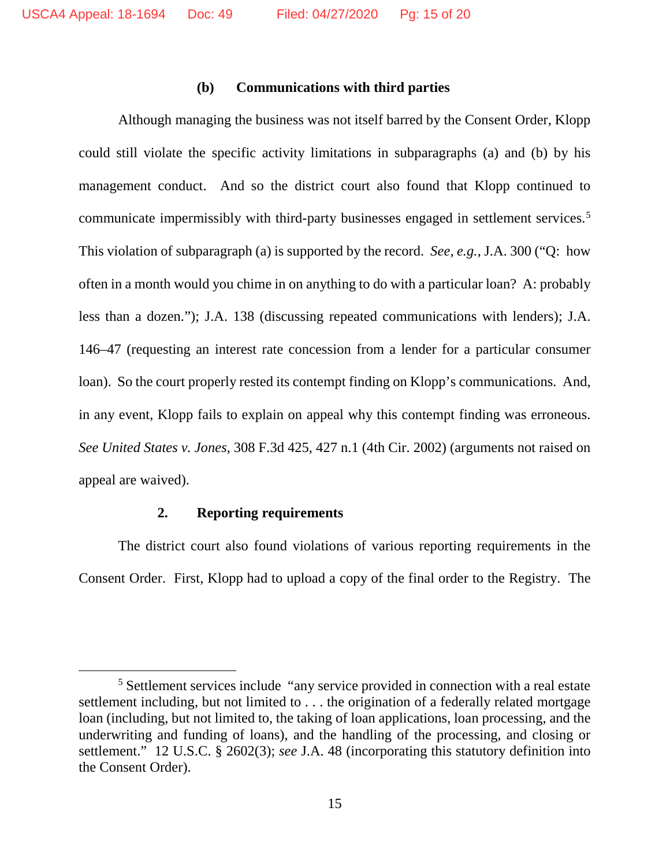### **(b) Communications with third parties**

Although managing the business was not itself barred by the Consent Order, Klopp could still violate the specific activity limitations in subparagraphs (a) and (b) by his management conduct. And so the district court also found that Klopp continued to communicate impermissibly with third-party businesses engaged in settlement services.<sup>[5](#page-14-0)</sup> This violation of subparagraph (a) is supported by the record. *See, e.g.*, J.A. 300 ("Q: how often in a month would you chime in on anything to do with a particular loan? A: probably less than a dozen."); J.A. 138 (discussing repeated communications with lenders); J.A. 146–47 (requesting an interest rate concession from a lender for a particular consumer loan). So the court properly rested its contempt finding on Klopp's communications. And, in any event, Klopp fails to explain on appeal why this contempt finding was erroneous. *See United States v. Jones*, 308 F.3d 425, 427 n.1 (4th Cir. 2002) (arguments not raised on appeal are waived).

# **2. Reporting requirements**

The district court also found violations of various reporting requirements in the Consent Order. First, Klopp had to upload a copy of the final order to the Registry. The

<span id="page-14-0"></span> <sup>5</sup> Settlement services include "any service provided in connection with a real estate settlement including, but not limited to . . . the origination of a federally related mortgage loan (including, but not limited to, the taking of loan applications, loan processing, and the underwriting and funding of loans), and the handling of the processing, and closing or settlement." 12 U.S.C. § 2602(3); *see* J.A. 48 (incorporating this statutory definition into the Consent Order).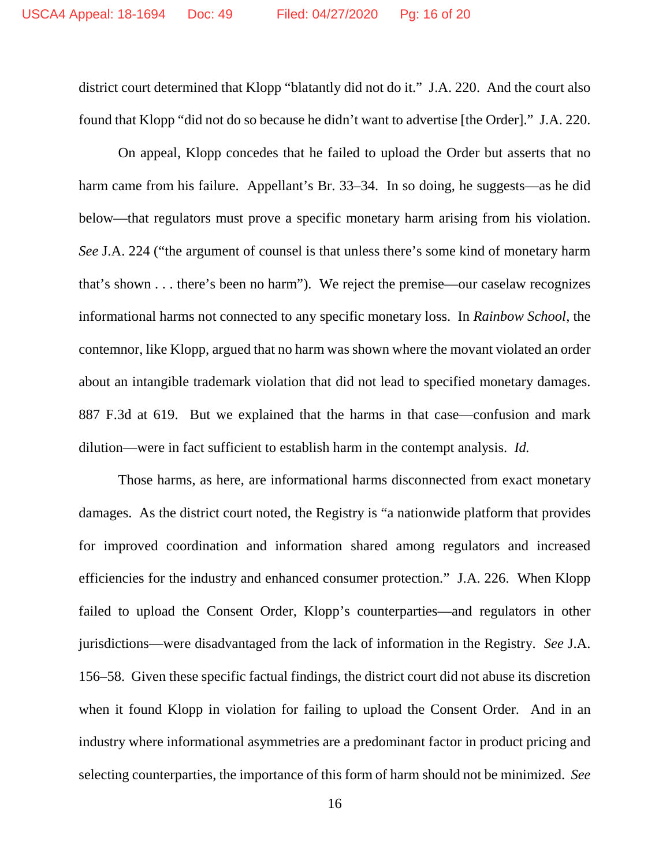district court determined that Klopp "blatantly did not do it." J.A. 220. And the court also found that Klopp "did not do so because he didn't want to advertise [the Order]." J.A. 220.

On appeal, Klopp concedes that he failed to upload the Order but asserts that no harm came from his failure. Appellant's Br. 33–34. In so doing, he suggests—as he did below—that regulators must prove a specific monetary harm arising from his violation. *See* J.A. 224 ("the argument of counsel is that unless there's some kind of monetary harm that's shown . . . there's been no harm"). We reject the premise—our caselaw recognizes informational harms not connected to any specific monetary loss. In *Rainbow School*, the contemnor, like Klopp, argued that no harm was shown where the movant violated an order about an intangible trademark violation that did not lead to specified monetary damages. 887 F.3d at 619. But we explained that the harms in that case—confusion and mark dilution—were in fact sufficient to establish harm in the contempt analysis. *Id.*

Those harms, as here, are informational harms disconnected from exact monetary damages. As the district court noted, the Registry is "a nationwide platform that provides for improved coordination and information shared among regulators and increased efficiencies for the industry and enhanced consumer protection." J.A. 226. When Klopp failed to upload the Consent Order, Klopp's counterparties—and regulators in other jurisdictions—were disadvantaged from the lack of information in the Registry. *See* J.A. 156–58. Given these specific factual findings, the district court did not abuse its discretion when it found Klopp in violation for failing to upload the Consent Order. And in an industry where informational asymmetries are a predominant factor in product pricing and selecting counterparties, the importance of this form of harm should not be minimized. *See*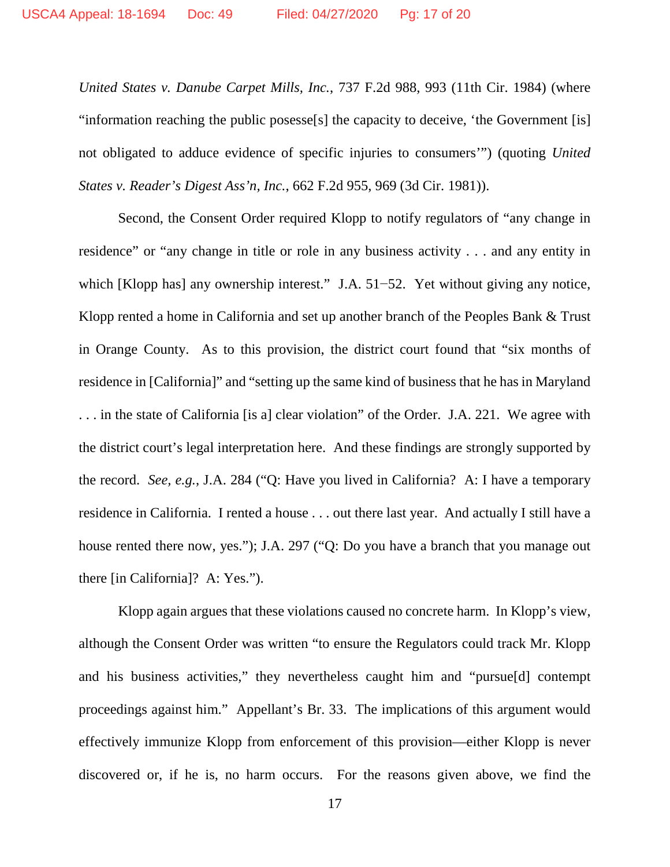*United States v. Danube Carpet Mills, Inc.*, 737 F.2d 988, 993 (11th Cir. 1984) (where "information reaching the public posesse[s] the capacity to deceive, 'the Government [is] not obligated to adduce evidence of specific injuries to consumers'") (quoting *United States v. Reader's Digest Ass'n, Inc.*, 662 F.2d 955, 969 (3d Cir. 1981)).

Second, the Consent Order required Klopp to notify regulators of "any change in residence" or "any change in title or role in any business activity . . . and any entity in which [Klopp has] any ownership interest." J.A. 51−52. Yet without giving any notice, Klopp rented a home in California and set up another branch of the Peoples Bank & Trust in Orange County. As to this provision, the district court found that "six months of residence in [California]" and "setting up the same kind of business that he has in Maryland . . . in the state of California [is a] clear violation" of the Order. J.A. 221. We agree with the district court's legal interpretation here. And these findings are strongly supported by the record. *See, e.g.*, J.A. 284 ("Q: Have you lived in California? A: I have a temporary residence in California. I rented a house . . . out there last year. And actually I still have a house rented there now, yes."); J.A. 297 ("Q: Do you have a branch that you manage out there [in California]? A: Yes.").

Klopp again argues that these violations caused no concrete harm. In Klopp's view, although the Consent Order was written "to ensure the Regulators could track Mr. Klopp and his business activities," they nevertheless caught him and "pursue[d] contempt proceedings against him." Appellant's Br. 33. The implications of this argument would effectively immunize Klopp from enforcement of this provision—either Klopp is never discovered or, if he is, no harm occurs. For the reasons given above, we find the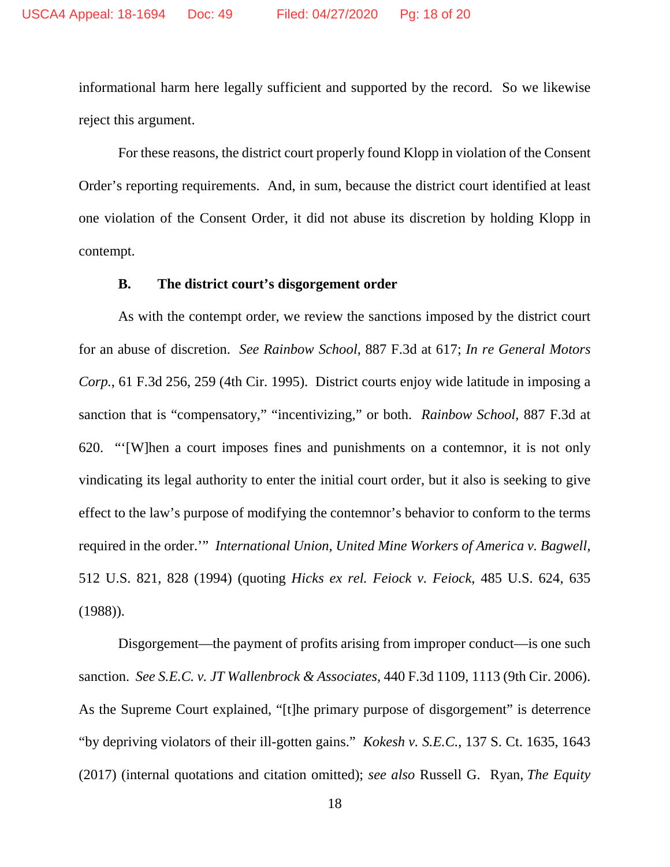informational harm here legally sufficient and supported by the record. So we likewise reject this argument.

For these reasons, the district court properly found Klopp in violation of the Consent Order's reporting requirements. And, in sum, because the district court identified at least one violation of the Consent Order, it did not abuse its discretion by holding Klopp in contempt.

### **B. The district court's disgorgement order**

As with the contempt order, we review the sanctions imposed by the district court for an abuse of discretion. *See Rainbow School*, 887 F.3d at 617; *In re General Motors Corp.*, 61 F.3d 256, 259 (4th Cir. 1995). District courts enjoy wide latitude in imposing a sanction that is "compensatory," "incentivizing," or both. *Rainbow School*, 887 F.3d at 620. "'[W]hen a court imposes fines and punishments on a contemnor, it is not only vindicating its legal authority to enter the initial court order, but it also is seeking to give effect to the law's purpose of modifying the contemnor's behavior to conform to the terms required in the order.'" *International Union, United Mine Workers of America v. Bagwell*, 512 U.S. 821, 828 (1994) (quoting *Hicks ex rel. Feiock v. Feiock*, 485 U.S. 624, 635 (1988)).

Disgorgement—the payment of profits arising from improper conduct—is one such sanction. *See S.E.C. v. JT Wallenbrock & Associates,* 440 F.3d 1109, 1113 (9th Cir. 2006). As the Supreme Court explained, "[t]he primary purpose of disgorgement" is deterrence "by depriving violators of their ill-gotten gains." *Kokesh v. S.E.C.*, 137 S. Ct. 1635, 1643 (2017) (internal quotations and citation omitted); *see also* Russell G. Ryan, *The Equity*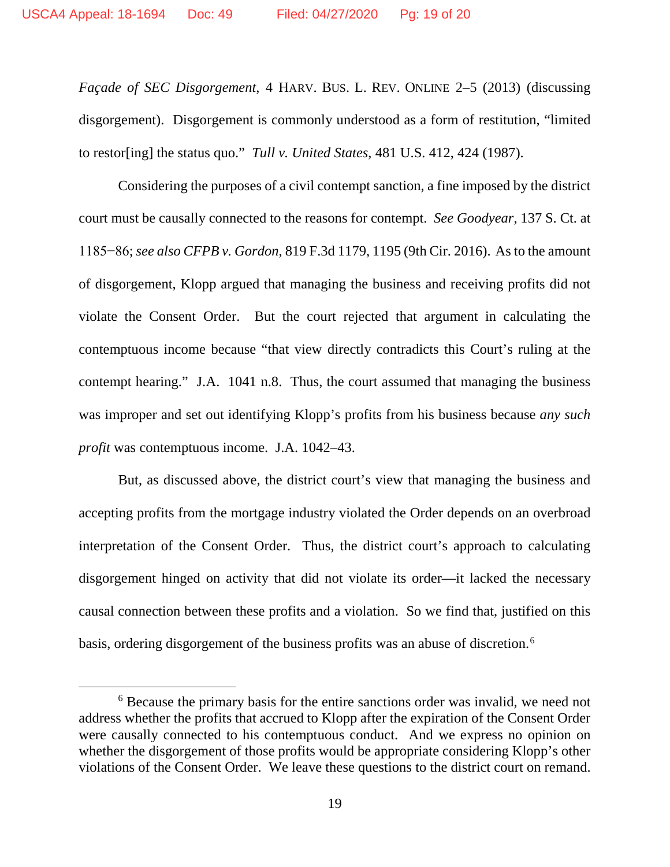*Façade of SEC Disgorgement*, 4 HARV. BUS. L. REV. ONLINE 2–5 (2013) (discussing disgorgement). Disgorgement is commonly understood as a form of restitution, "limited to restor[ing] the status quo." *Tull v. United States*, 481 U.S. 412, 424 (1987).

Considering the purposes of a civil contempt sanction, a fine imposed by the district court must be causally connected to the reasons for contempt. *See Goodyear*, 137 S. Ct. at 1185−86; *see also CFPB v. Gordon*, 819 F.3d 1179, 1195 (9th Cir. 2016). As to the amount of disgorgement, Klopp argued that managing the business and receiving profits did not violate the Consent Order. But the court rejected that argument in calculating the contemptuous income because "that view directly contradicts this Court's ruling at the contempt hearing." J.A. 1041 n.8. Thus, the court assumed that managing the business was improper and set out identifying Klopp's profits from his business because *any such profit* was contemptuous income. J.A. 1042–43.

But, as discussed above, the district court's view that managing the business and accepting profits from the mortgage industry violated the Order depends on an overbroad interpretation of the Consent Order. Thus, the district court's approach to calculating disgorgement hinged on activity that did not violate its order—it lacked the necessary causal connection between these profits and a violation. So we find that, justified on this basis, ordering disgorgement of the business profits was an abuse of discretion.<sup>[6](#page-18-0)</sup>

<span id="page-18-0"></span> <sup>6</sup> Because the primary basis for the entire sanctions order was invalid, we need not address whether the profits that accrued to Klopp after the expiration of the Consent Order were causally connected to his contemptuous conduct. And we express no opinion on whether the disgorgement of those profits would be appropriate considering Klopp's other violations of the Consent Order. We leave these questions to the district court on remand.